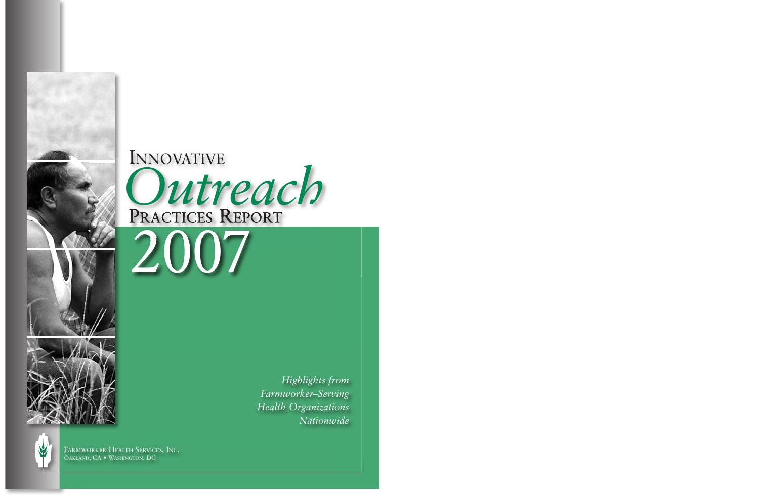*Highlights from Farmworker–Serving Health Organizations Nationwide*

FARMWORKER HEALTH SERVICES, INC. OAKLAND, CA • WASHINGTON, DC

PRACTICES REPORT INNOVATIVE *Outreach*



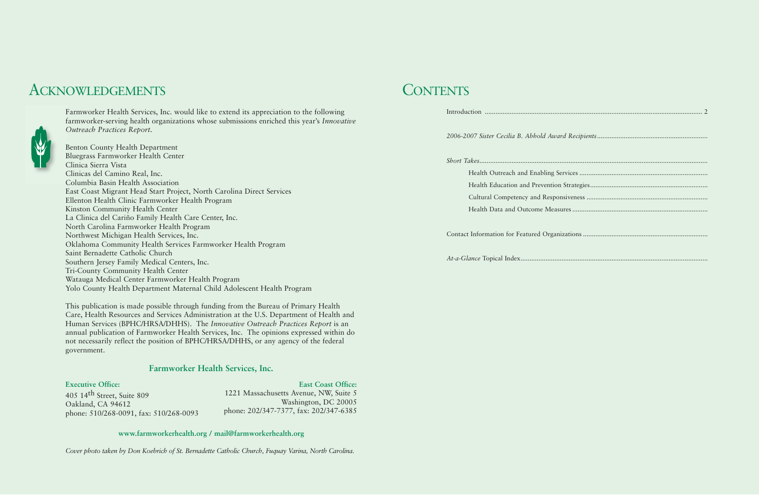Introduction .......................................................................................................................... 2 2006-2007 Sister Cecilia B. Abhold *Short Takes................................................................................................................................* Health Outreach and Enablir Health Education and Prevention Cultural Competency and Re Health Data and Outcome M Contact Information for Featured Or

# ACKNOWLEDGEMENTS CONTENTS



Farmworker Health Services, Inc. would like to extend its appreciation to the following farmworker-serving health organizations whose submissions enriched this year's *Innovative Outreach Practices Report*.

Benton County Health Department Bluegrass Farmworker Health Center Clinica Sierra Vista Clinicas del Camino Real, Inc. Columbia Basin Health Association East Coast Migrant Head Start Project, North Carolina Direct Services Ellenton Health Clinic Farmworker Health Program Kinston Community Health Center La Clinica del Cariño Family Health Care Center, Inc. North Carolina Farmworker Health Program Northwest Michigan Health Services, Inc. Oklahoma Community Health Services Farmworker Health Program Saint Bernadette Catholic Church Southern Jersey Family Medical Centers, Inc. Tri-County Community Health Center Watauga Medical Center Farmworker Health Program Yolo County Health Department Maternal Child Adolescent Health Program

This publication is made possible through funding from the Bureau of Primary Health Care, Health Resources and Services Administration at the U.S. Department of Health and Human Services (BPHC/HRSA/DHHS). The *Innovative Outreach Practices Report* is an annual publication of Farmworker Health Services, Inc. The opinions expressed within do not necessarily reflect the position of BPHC/HRSA/DHHS, or any agency of the federal government.

#### **www.farmworkerhealth.org / mail@farmworkerhealth.org**

*Cover photo taken by Don Koebrich of St. Bernadette Catholic Church, Fuquay Varina, North Carolina.*

### **Farmworker Health Services, Inc.**

**Executive Office:** 405 14th Street, Suite 809 Oakland, CA 94612 phone: 510/268-0091, fax: 510/268-0093

**East Coast Office:** 1221 Massachusetts Avenue, NW, Suite 5 Washington, DC 20005 phone: 202/347-7377, fax: 202/347-6385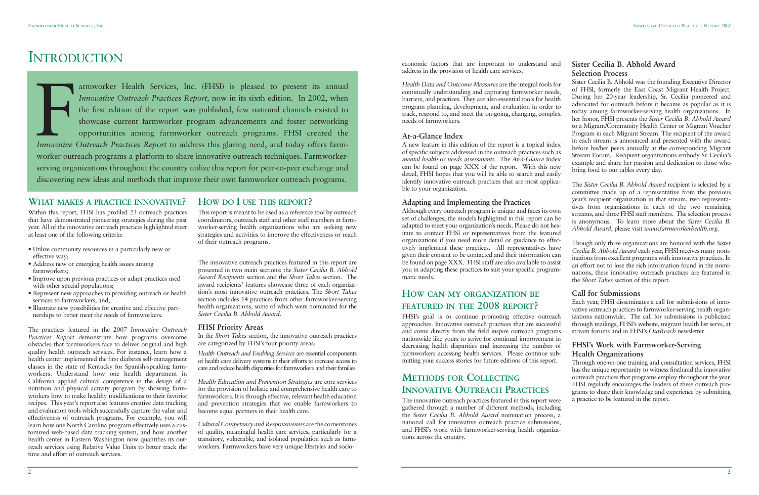economic factors that are important to understand and address in the provision of health care services.

*Health Data and Outcome Measures* are the integral tools for continually understanding and capturing farmworker needs, barriers, and practices. They are also essential tools for health program planning, development, and evaluation in order to track, respond to, and meet the on-going, changing, complex needs of farmworkers.

#### **At-a-Glance Index**

A new feature in this edition of the report is a topical index of specific subjects addressed in the outreach practices such as *mental health* or *needs assessments.* The *At-a-Glance* Index can be found on page XXX of the report. With this new detail, FHSI hopes that you will be able to search and easily identify innovative outreach practices that are most applicable to your organization.

#### **Adapting and Implementing the Practices**

Although every outreach program is unique and faces its own set of challenges, the models highlighted in this report can be adapted to meet your organization's needs. Please do not hesitate to contact FHSI or representatives from the featured organizations if you need more detail or guidance to effectively implement these practices. All representatives have given their consent to be contacted and their information can be found on page XXX. FHSI staff are also available to assist you in adapting these practices to suit your specific programmatic needs.

### **HOW CAN MY ORGANIZATION BE FEATURED IN THE 2008 REPORT?**

FHSI's goal is to continue promoting effective outreach approaches. Innovative outreach practices that are successful and come directly from the field inspire outreach programs nationwide like yours to strive for continual improvement in decreasing health disparities and increasing the number of farmworkers accessing health services. Please continue submitting your success stories for future editions of this report.

### **METHODS FOR COLLECTING INNOVATIVE OUTREACH PRACTICES**

The innovative outreach practices featured in this report were gathered through a number of different methods, including the *Sister Cecilia B. Abhold Award* nomination process, a national call for innovative outreach practice submissions, and FHSI's work with farmworker-serving health organizations across the country.

### **Sister Cecilia B. Abhold Award Selection Process**

Sister Cecilia B. Abhold was the founding Executive Director of FHSI, formerly the East Coast Migrant Health Project. During her 20-year leadership, Sr. Cecilia pioneered and advocated for outreach before it became as popular as it is today among farmworker-serving health organizations. In her honor, FHSI presents the *Sister Cecilia B. Abhold Award* to a Migrant/Community Health Center or Migrant Voucher Program in each Migrant Stream. The recipient of the award in each stream is announced and presented with the award before his/her peers annually at the corresponding Migrant Stream Forum. Recipient organizations embody Sr. Cecilia's example and share her passion and dedication to those who bring food to our tables every day.

The *Sister Cecilia B. Abhold Award* recipient is selected by a committee made up of a representative from the previous year's recipient organization in that stream, two representatives from organizations in each of the two remaining streams, and three FHSI staff members. The selection process is anonymous. To learn more about the *Sister Cecilia B. Abhold Award*, please visit *www.farmworkerhealth.org.*

Though only three organizations are honored with the *Sister Cecilia B. Abhold Award* each year, FHSI receives many nominations from excellent programs with innovative practices. In an effort not to lose the rich information found in the nominations, these innovative outreach practices are featured in the *Short Takes* section of this report.

### **Call for Submissions**

Each year, FHSI disseminates a call for submissions of innovative outreach practices to farmworker-serving health organizations nationwide. The call for submissions is publicized through mailings, FHSI's website, migrant health list servs, at stream forums and in FHSI's *OutReach* newsletter.

### **FHSI's Work with Farmworker-Serving Health Organizations**

Fractices Report, now in its sixth edition. In 2002, when the first edition of the report was published, few national channels existed to showcase current farmworker program advancements and foster networking opportunities armworker Health Services, Inc. (FHSI) is pleased to present its annual *Innovative Outreach Practices Report,* now in its sixth edition. In 2002, when the first edition of the report was published, few national channels existed to showcase current farmworker program advancements and foster networking opportunities among farmworker outreach programs. FHSI created the worker outreach programs a platform to share innovative outreach techniques. Farmworkerserving organizations throughout the country utilize this report for peer-to-peer exchange and discovering new ideas and methods that improve their own farmworker outreach programs.

> Through one-on-one training and consultation services, FHSI has the unique opportunity to witness firsthand the innovative outreach practices that programs employ throughout the year. FHSI regularly encourages the leaders of these outreach programs to share their knowledge and experience by submitting a practice to be featured in the report.

### **WHAT MAKES A PRACTICE INNOVATIVE?**

Within this report, FHSI has profiled 23 outreach practices that have demonstrated pioneering strategies during the past year. All of the innovative outreach practices highlighted meet at least one of the following criteria:

- Utilize community resources in a particularly new or effective way;
- Address new or emerging health issues among farmworkers;
- Improve upon previous practices or adapt practices used with other special populations;
- Represent new approaches to providing outreach or health services to farmworkers; and,
- Illustrate new possibilities for creative and effective partnerships to better meet the needs of farmworkers.

The practices featured in the 2007 *Innovative Outreach Practices Report* demonstrate how programs overcome obstacles that farmworkers face to deliver original and high quality health outreach services. For instance, learn how a health center implemented the first diabetes self-management classes in the state of Kentucky for Spanish-speaking farmworkers. Understand how one health department in California applied cultural competence in the design of a nutrition and physical activity program by showing farmworkers how to make healthy modifications to their favorite recipes. This year's report also features creative data tracking and evaluation tools which successfully capture the value and effectiveness of outreach programs. For example, you will learn how one North Carolina program effectively uses a customized web-based data tracking system, and how another health center in Eastern Washington now quantifies its outreach services using Relative Value Units to better track the time and effort of outreach services.

### **HOW DO I USE THIS REPORT?**

This report is meant to be used as a reference tool by outreach coordinators, outreach staff and other staff members at farmworker-serving health organizations who are seeking new strategies and activities to improve the effectiveness or reach of their outreach programs.

The innovative outreach practices featured in this report are presented in two main sections: the *Sister Cecilia B. Abhold Award Recipients* section and the *Short Takes* section. The award recipients' features showcase three of each organization's most innovative outreach practices. The *Short Takes* section includes 14 practices from other farmworker-serving health organizations, some of which were nominated for the *Sister Cecilia B. Abhold Award*.

#### **FHSI Priority Areas**

In the *Short Takes* section, the innovative outreach practices are categorized by FHSI's four priority areas:

*Health Outreach and Enabling Services* are essential components of health care delivery systems in their efforts to increase access to care and reduce health disparities for farmworkers and their families.

*Health Education and Prevention Strategies* are core services for the provision of holistic and comprehensive health care to farmworkers. It is through effective, relevant health education and prevention strategies that we enable farmworkers to become equal partners in their health care.

*Cultural Competency and Responsiveness* are the cornerstones of quality, meaningful health care services, particularly for a transitory, vulnerable, and isolated population such as farmworkers. Farmworkers have very unique lifestyles and socio-

# INTRODUCTION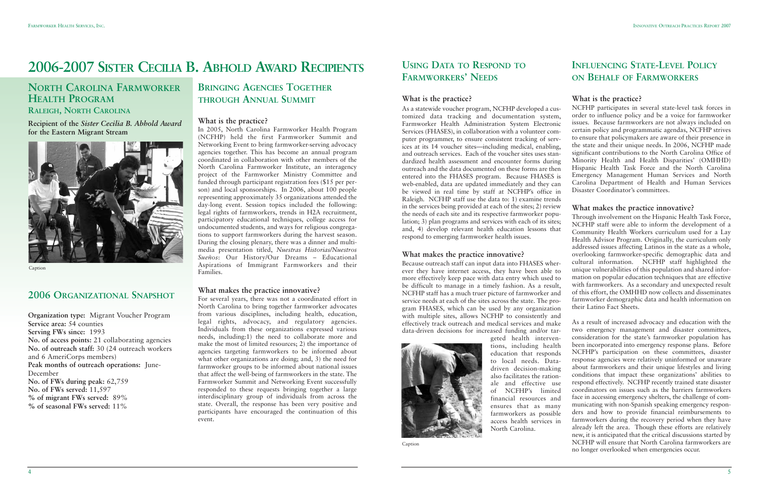# **2006-2007 SISTER CECILIA B. ABHOLD AWARD RECIPIENTS**

## **NORTH CAROLINA FARMWORKER HEALTH PROGRAM**

### **RALEIGH, NORTH CAROLINA**

### **Recipient of the** *Sister Cecilia B. Abhold Award* **for the Eastern Migrant Stream**

### **2006 ORGANIZATIONAL SNAPSHOT**

**Organization type:** Migrant Voucher Program **Service area:** 54 counties **Serving FWs since:** 1993 **No. of access points:** 21 collaborating agencies **No. of outreach staff:** 30 (24 outreach workers and 6 AmeriCorps members) **Peak months of outreach operations:** June-December **No. of FWs during peak:** 62,759 **No. of FWs served:** 11,597 **% of migrant FWs served:** 89% **% of seasonal FWs served:** 11%

### **BRINGING AGENCIES TOGETHER THROUGH ANNUAL SUMMIT**

### **What is the practice?**

In 2005, North Carolina Farmworker Health Program (NCFHP) held the first Farmworker Summit and Networking Event to bring farmworker-serving advocacy agencies together. This has become an annual program coordinated in collaboration with other members of the North Carolina Farmworker Institute, an interagency project of the Farmworker Ministry Committee and funded through participant registration fees (\$15 per person) and local sponsorships. In 2006, about 100 people representing approximately 35 organizations attended the day-long event. Session topics included the following: legal rights of farmworkers, trends in H2A recruitment, participatory educational techniques, college access for undocumented students, and ways for religious congregations to support farmworkers during the harvest season. During the closing plenary, there was a dinner and multimedia presentation titled, *Nuestras Historias/Nuestros Sueños*: Our History/Our Dreams – Educational Aspirations of Immigrant Farmworkers and their Families.

### **What makes the practice innovative?**

For several years, there was not a coordinated effort in North Carolina to bring together farmworker advocates from various disciplines, including health, education, legal rights, advocacy, and regulatory agencies. Individuals from these organizations expressed various needs, including:1) the need to collaborate more and make the most of limited resources; 2) the importance of agencies targeting farmworkers to be informed about what other organizations are doing; and, 3) the need for farmworker groups to be informed about national issues that affect the well-being of farmworkers in the state. The Farmworker Summit and Networking Event successfully responded to these requests bringing together a large interdisciplinary group of individuals from across the state. Overall, the response has been very positive and participants have encouraged the continuation of this event.



Caption

### **USING DATA TO RESPOND TO FARMWORKERS' NEEDS**

### **What is the practice?**

As a statewide voucher program, NCFHP developed a customized data tracking and documentation system, Farmworker Health Administration System Electronic Services (FHASES), in collaboration with a volunteer computer programmer, to ensure consistent tracking of services at its 14 voucher sites—including medical, enabling, and outreach services. Each of the voucher sites uses standardized health assessment and encounter forms during outreach and the data documented on these forms are then entered into the FHASES program. Because FHASES is web-enabled, data are updated immediately and they can be viewed in real time by staff at NCFHP's office in Raleigh. NCFHP staff use the data to: 1) examine trends in the services being provided at each of the sites; 2) review the needs of each site and its respective farmworker population; 3) plan programs and services with each of its sites; and, 4) develop relevant health education lessons that respond to emerging farmworker health issues.

### **What makes the practice innovative?**

Because outreach staff can input data into FHASES wherever they have internet access, they have been able to more effectively keep pace with data entry which used to be difficult to manage in a timely fashion. As a result, NCFHP staff has a much truer picture of farmworker and service needs at each of the sites across the state. The program FHASES, which can be used by any organization with multiple sites, allows NCFHP to consistently and effectively track outreach and medical services and make data-driven decisions for increased funding and/or targeted health interventions, including health education that responds to local needs. Datadriven decision-making also facilitates the rationale and effective use of NCFHP's limited financial resources and ensures that as many farmworkers as possible access health services in



North Carolina.

### **INFLUENCING STATE-LEVEL POLICY ON BEHALF OF FARMWORKERS**

#### **What is the practice?**

NCFHP participates in several state-level task forces in order to influence policy and be a voice for farmworker issues. Because farmworkers are not always included on certain policy and programmatic agendas, NCFHP strives to ensure that policymakers are aware of their presence in the state and their unique needs. In 2006, NCFHP made significant contributions to the North Carolina Office of Minority Health and Health Disparities' (OMHHD) Hispanic Health Task Force and the North Carolina Emergency Management Human Services and North Carolina Department of Health and Human Services Disaster Coordinator's committees.

#### **What makes the practice innovative?**

Through involvement on the Hispanic Health Task Force, NCFHP staff were able to inform the development of a Community Health Workers curriculum used for a Lay Health Advisor Program. Originally, the curriculum only addressed issues affecting Latinos in the state as a whole, overlooking farmworker-specific demographic data and cultural information. NCFHP staff highlighted the unique vulnerabilities of this population and shared information on popular education techniques that are effective with farmworkers. As a secondary and unexpected result of this effort, the OMHHD now collects and disseminates farmworker demographic data and health information on their Latino Fact Sheets.

As a result of increased advocacy and education with the two emergency management and disaster committees, consideration for the state's farmworker population has been incorporated into emergency response plans. Before NCFHP's participation on these committees, disaster response agencies were relatively uninformed or unaware about farmworkers and their unique lifestyles and living conditions that impact these organizations' abilities to respond effectively. NCFHP recently trained state disaster coordinators on issues such as the barriers farmworkers face in accessing emergency shelters, the challenge of communicating with non-Spanish speaking emergency responders and how to provide financial reimbursements to farmworkers during the recovery period when they have already left the area. Though these efforts are relatively new, it is anticipated that the critical discussions started by NCFHP will ensure that North Carolina farmworkers are no longer overlooked when emergencies occur.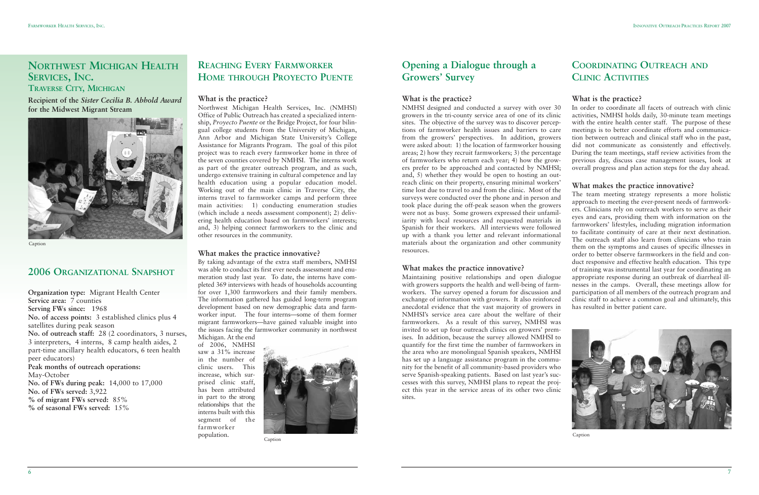7

## **NORTHWEST MICHIGAN HEALTH SERVICES, INC.**

**TRAVERSE CITY, MICHIGAN**

**Recipient of the** *Sister Cecilia B. Abhold Award* **for the Midwest Migrant Stream**



**Caption** 

### **2006 ORGANIZATIONAL SNAPSHOT**

**Organization type:** Migrant Health Center **Service area:** 7 counties **Serving FWs since:** 1968 **No. of access points:** 3 established clinics plus 4 satellites during peak season **No. of outreach staff:** 28 (2 coordinators, 3 nurses, 3 interpreters, 4 interns, 8 camp health aides, 2 part-time ancillary health educators, 6 teen health peer educators) **Peak months of outreach operations:** May-October **No. of FWs during peak:** 14,000 to 17,000 **No. of FWs served:** 3,922 **% of migrant FWs served:** 85% **% of seasonal FWs served:** 15%

### **REACHING EVERY FARMWORKER HOME THROUGH PROYECTO PUENTE**

### **What is the practice?**

Northwest Michigan Health Services, Inc. (NMHSI) Office of Public Outreach has created a specialized internship, *Proyecto Puente* or the Bridge Project, for four bilingual college students from the University of Michigan, Ann Arbor and Michigan State University's College Assistance for Migrants Program. The goal of this pilot project was to reach every farmworker home in three of the seven counties covered by NMHSI. The interns work as part of the greater outreach program, and as such, undergo extensive training in cultural competence and lay health education using a popular education model. Working out of the main clinic in Traverse City, the interns travel to farmworker camps and perform three main activities: 1) conducting enumeration studies (which include a needs assessment component); 2) delivering health education based on farmworkers' interests; and, 3) helping connect farmworkers to the clinic and other resources in the community.

### **What makes the practice innovative?**

By taking advantage of the extra staff members, NMHSI was able to conduct its first ever needs assessment and enumeration study last year. To date, the interns have completed 369 interviews with heads of households accounting for over 1,300 farmworkers and their family members. The information gathered has guided long-term program development based on new demographic data and farmworker input. The four interns—some of them former migrant farmworkers—have gained valuable insight into the issues facing the farmworker community in northwest Michigan. At the end

of 2006, NMHSI saw a 31% increase in the number of clinic users. This increase, which surprised clinic staff, has been attributed in part to the strong relationships that the interns built with this segment of the farmworker population.

### **Opening a Dialogue through a Growers' Survey**

**What is the practice?** NMHSI designed and conducted a survey with over 30 growers in the tri-county service area of one of its clinic sites. The objective of the survey was to discover perceptions of farmworker health issues and barriers to care from the growers' perspectives. In addition, growers were asked about: 1) the location of farmworker housing areas; 2) how they recruit farmworkers; 3) the percentage of farmworkers who return each year; 4) how the growers prefer to be approached and contacted by NMHSI; and, 5) whether they would be open to hosting an outreach clinic on their property, ensuring minimal workers' time lost due to travel to and from the clinic. Most of the surveys were conducted over the phone and in person and took place during the off-peak season when the growers were not as busy. Some growers expressed their unfamiliarity with local resources and requested materials in Spanish for their workers. All interviews were followed up with a thank you letter and relevant informational materials about the organization and other community resources.

### **What makes the practice innovative?**

Maintaining positive relationships and open dialogue with growers supports the health and well-being of farmworkers. The survey opened a forum for discussion and exchange of information with growers. It also reinforced anecdotal evidence that the vast majority of growers in NMHSI's service area care about the welfare of their farmworkers. As a result of this survey, NMHSI was invited to set up four outreach clinics on growers' premises. In addition, because the survey allowed NMHSI to quantify for the first time the number of farmworkers in the area who are monolingual Spanish speakers, NMHSI has set up a language assistance program in the community for the benefit of all community-based providers who serve Spanish-speaking patients. Based on last year's successes with this survey, NMHSI plans to repeat the project this year in the service areas of its other two clinic sites.

### **COORDINATING OUTREACH AND CLINIC ACTIVITIES**

#### **What is the practice?**

In order to coordinate all facets of outreach with clinic activities, NMHSI holds daily, 30-minute team meetings with the entire health center staff. The purpose of these meetings is to better coordinate efforts and communication between outreach and clinical staff who in the past, did not communicate as consistently and effectively. During the team meetings, staff review activities from the previous day, discuss case management issues, look at overall progress and plan action steps for the day ahead.

#### **What makes the practice innovative?**

The team meeting strategy represents a more holistic approach to meeting the ever-present needs of farmworkers. Clinicians rely on outreach workers to serve as their eyes and ears, providing them with information on the farmworkers' lifestyles, including migration information to facilitate continuity of care at their next destination. The outreach staff also learn from clinicians who train them on the symptoms and causes of specific illnesses in order to better observe farmworkers in the field and conduct responsive and effective health education. This type of training was instrumental last year for coordinating an appropriate response during an outbreak of diarrheal illnesses in the camps. Overall, these meetings allow for participation of all members of the outreach program and clinic staff to achieve a common goal and ultimately, this has resulted in better patient care.



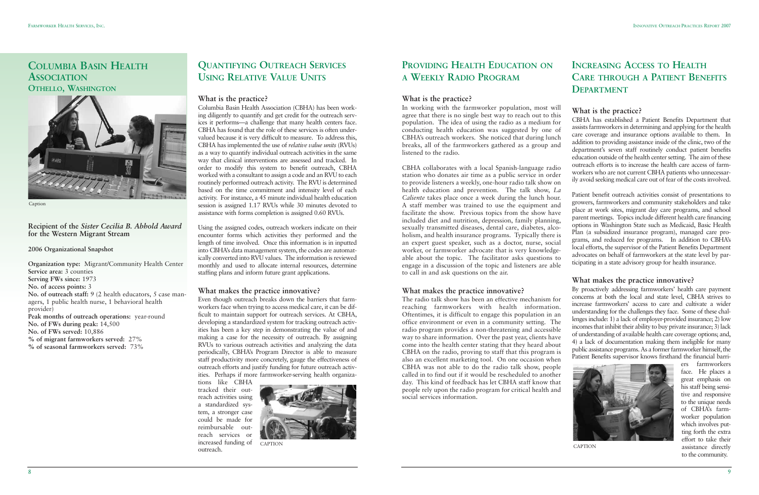9

### **COLUMBIA BASIN HEALTH ASSOCIATION OTHELLO, WASHINGTON**

#### **Recipient of the** *Sister Cecilia B. Abhold Award* **for the Western Migrant Stream**

#### **2006 Organizational Snapshot**

**Organization type:** Migrant/Community Health Center **Service area:** 3 counties **Serving FWs since:** 1973 **No. of access points:** 3 **No. of outreach staff:** 9 (2 health educators, 5 case managers, 1 public health nurse, 1 behavioral health provider) **Peak months of outreach operations:** year-round **No. of FWs during peak:** 14,500 **No. of FWs served:** 10,886 **% of migrant farmworkers served:** 27% **% of seasonal farmworkers served:** 73%

## **QUANTIFYING OUTREACH SERVICES USING RELATIVE VALUE UNITS**

### **What is the practice?**

Columbia Basin Health Association (CBHA) has been working diligently to quantify and get credit for the outreach services it performs—a challenge that many health centers face. CBHA has found that the role of these services is often undervalued because it is very difficult to measure. To address this, CBHA has implemented the use of *relative value units* (RVUs) as a way to quantify individual outreach activities in the same way that clinical interventions are assessed and tracked. In order to modify this system to benefit outreach, CBHA worked with a consultant to assign a code and an RVU to each routinely performed outreach activity. The RVU is determined based on the time commitment and intensity level of each activity. For instance, a 45 minute individual health education session is assigned 1.17 RVUs while 30 minutes devoted to assistance with forms completion is assigned 0.60 RVUs.

Using the assigned codes, outreach workers indicate on their encounter forms which activities they performed and the length of time involved. Once this information is in inputted into CBHA's data management system, the codes are automatically converted into RVU values. The information is reviewed monthly and used to allocate internal resources, determine staffing plans and inform future grant applications.

### **What makes the practice innovative?**

Even though outreach breaks down the barriers that farmworkers face when trying to access medical care, it can be difficult to maintain support for outreach services. At CBHA, developing a standardized system for tracking outreach activities has been a key step in demonstrating the value of and making a case for the necessity of outreach. By assigning RVUs to various outreach activities and analyzing the data periodically, CBHA's Program Director is able to measure staff productivity more concretely, gauge the effectiveness of outreach efforts and justify funding for future outreach activities. Perhaps if more farmworker-serving health organiza-

tions like CBHA tracked their outreach activities using a standardized system, a stronger case could be made for reimbursable outreach services or increased funding of outreach.



## **PROVIDING HEALTH EDUCATION ON A WEEKLY RADIO PROGRAM**

### **What is the practice?**

In working with the farmworker population, most will agree that there is no single best way to reach out to this population. The idea of using the radio as a medium for conducting health education was suggested by one of CBHA's outreach workers. She noticed that during lunch breaks, all of the farmworkers gathered as a group and listened to the radio.

CBHA collaborates with a local Spanish-language radio station who donates air time as a public service in order to provide listeners a weekly, one-hour radio talk show on health education and prevention. The talk show, *La Caliente* takes place once a week during the lunch hour. A staff member was trained to use the equipment and facilitate the show. Previous topics from the show have included diet and nutrition, depression, family planning, sexually transmitted diseases, dental care, diabetes, alcoholism, and health insurance programs. Typically there is an expert guest speaker, such as a doctor, nurse, social worker, or farmworker advocate that is very knowledgeable about the topic. The facilitator asks questions to engage in a discussion of the topic and listeners are able to call in and ask questions on the air.

### **What makes the practice innovative?**

The radio talk show has been an effective mechanism for reaching farmworkers with health information. Oftentimes, it is difficult to engage this population in an office environment or even in a community setting. The radio program provides a non-threatening and accessible way to share information. Over the past year, clients have come into the health center stating that they heard about CBHA on the radio, proving to staff that this program is also an excellent marketing tool. On one occasion when CBHA was not able to do the radio talk show, people called in to find out if it would be rescheduled to another day. This kind of feedback has let CBHA staff know that people rely upon the radio program for critical health and social services information.

### **INCREASING ACCESS TO HEALTH CARE THROUGH A PATIENT BENEFITS DEPARTMENT**

**What is the practice?**

CBHA has established a Patient Benefits Department that assists farmworkers in determining and applying for the health care coverage and insurance options available to them. In addition to providing assistance inside of the clinic, two of the department's seven staff routinely conduct patient benefits education outside of the health center setting. The aim of these outreach efforts is to increase the health care access of farmworkers who are not current CBHA patients who unnecessarily avoid seeking medical care out of fear of the costs involved.

Patient benefit outreach activities consist of presentations to growers, farmworkers and community stakeholders and take place at work sites, migrant day care programs, and school parent meetings. Topics include different health care financing options in Washington State such as Medicaid, Basic Health Plan (a subsidized insurance program), managed care programs, and reduced fee programs. In addition to CBHA's local efforts, the supervisor of the Patient Benefits Department advocates on behalf of farmworkers at the state level by participating in a state advisory group for health insurance.

#### **What makes the practice innovative?**

By proactively addressing farmworkers' health care payment concerns at both the local and state level, CBHA strives to increase farmworkers' access to care and cultivate a wider understanding for the challenges they face. Some of these challenges include: 1) a lack of employer-provided insurance; 2) low incomes that inhibit their ability to buy private insurance; 3) lack of understanding of available health care coverage options; and, 4) a lack of documentation making them ineligible for many public assistance programs. As a former farmworker himself, the Patient Benefits supervisor knows firsthand the financial barri-

ers farmworkers face. He places a great emphasis on his staff being sensitive and responsive to the unique needs of CBHA's farmworker population which involves putting forth the extra effort to take their assistance directly to the community.



Caption

CAPTION CAPTION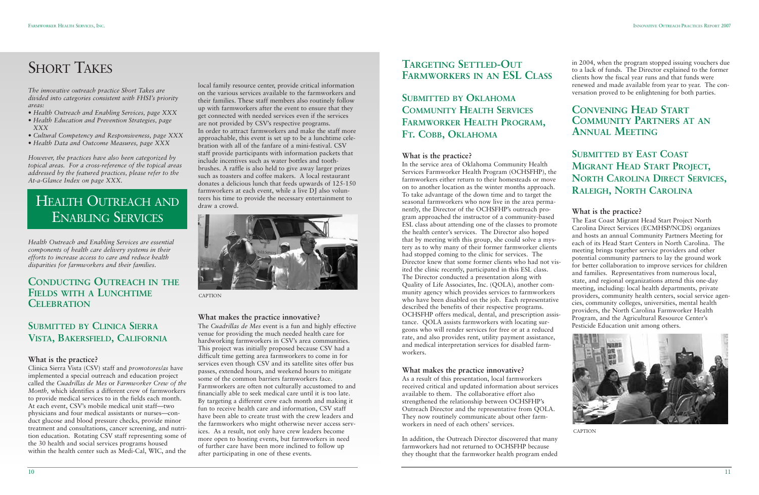# **SHORT TAKES**

*The innovative outreach practice Short Takes are divided into categories consistent with FHSI's priority areas:*

- *Health Outreach and Enabling Services, page XXX*
- *Health Education and Prevention Strategies, page XXX*
- *Cultural Competency and Responsiveness, page XXX*
- *Health Data and Outcome Measures, page XXX*

*However, the practices have also been categorized by topical areas. For a cross-reference of the topical areas addressed by the featured practices, please refer to the At-a-Glance Index on page XXX.*

# HEALTH OUTREACH AND ENABLING SERVICES

*Health Outreach and Enabling Services are essential components of health care delivery systems in their efforts to increase access to care and reduce health disparities for farmworkers and their families.*

### **CONDUCTING OUTREACH IN THE FIELDS WITH A LUNCHTIME CELEBRATION**

### **SUBMITTED BY CLINICA SIERRA VISTA, BAKERSFIELD, CALIFORNIA**

#### **What is the practice?**

Clinica Sierra Vista (CSV) staff and *promotores/as* have implemented a special outreach and education project called the *Cuadrillas de Mes* or *Farmworker Crew of the Month,* which identifies a different crew of farmworkers to provide medical services to in the fields each month. At each event, CSV's mobile medical unit staff—two physicians and four medical assistants or nurses—conduct glucose and blood pressure checks, provide minor treatment and consultations, cancer screening, and nutrition education. Rotating CSV staff representing some of the 30 health and social services programs housed within the health center such as Medi-Cal, WIC, and the local family resource center, provide critical information on the various services available to the farmworkers and their families. These staff members also routinely follow up with farmworkers after the event to ensure that they get connected with needed services even if the services are not provided by CSV's respective programs. In order to attract farmworkers and make the staff more approachable, this event is set up to be a lunchtime celebration with all of the fanfare of a mini-festival. CSV staff provide participants with information packets that include incentives such as water bottles and toothbrushes. A raffle is also held to give away larger prizes such as toasters and coffee makers. A local restaurant donates a delicious lunch that feeds upwards of 125-150 farmworkers at each event, while a live DJ also volunteers his time to provide the necessary entertainment to draw a crowd.

#### **What makes the practice innovative?**

The *Cuadrillas de Mes* event is a fun and highly effective venue for providing the much needed health care for hardworking farmworkers in CSV's area communities. This project was initially proposed because CSV had a difficult time getting area farmworkers to come in for services even though CSV and its satellite sites offer bus passes, extended hours, and weekend hours to mitigate some of the common barriers farmworkers face. Farmworkers are often not culturally accustomed to and financially able to seek medical care until it is too late. By targeting a different crew each month and making it fun to receive health care and information, CSV staff have been able to create trust with the crew leaders and the farmworkers who might otherwise never access services. As a result, not only have crew leaders become more open to hosting events, but farmworkers in need of further care have been more inclined to follow up after participating in one of these events.

### **TARGETING SETTLED-OUT FARMWORKERS IN AN ESL CLASS**

### **SUBMITTED BY OKLAHOMA COMMUNITY HEALTH SERVICES FARMWORKER HEALTH PROGRAM, FT. COBB, OKLAHOMA**

#### **What is the practice?**

In the service area of Oklahoma Community Health Services Farmworker Health Program (OCHSFHP), the farmworkers either return to their homesteads or move on to another location as the winter months approach. To take advantage of the down time and to target the seasonal farmworkers who now live in the area permanently, the Director of the OCHSFHP's outreach program approached the instructor of a community-based ESL class about attending one of the classes to promote the health center's services. The Director also hoped that by meeting with this group, she could solve a mystery as to why many of their former farmworker clients had stopped coming to the clinic for services. The Director knew that some former clients who had not visited the clinic recently, participated in this ESL class. The Director conducted a presentation along with Quality of Life Associates, Inc. (QOLA), another community agency which provides services to farmworkers who have been disabled on the job. Each representative described the benefits of their respective programs. OCHSFHP offers medical, dental, and prescription assistance. QOLA assists farmworkers with locating surgeons who will render services for free or at a reduced rate, and also provides rent, utility payment assistance, and medical interpretation services for disabled farmworkers.

### **What makes the practice innovative?**

As a result of this presentation, local farmworkers received critical and updated information about services available to them. The collaborative effort also strengthened the relationship between OCHSFHP's Outreach Director and the representative from QOLA. They now routinely communicate about other farmworkers in need of each others' services.

In addition, the Outreach Director discovered that many farmworkers had not returned to OCHSFHP because they thought that the farmworker health program ended in 2004, when the program stopped issuing vouchers due to a lack of funds. The Director explained to the former clients how the fiscal year runs and that funds were renewed and made available from year to year. The conversation proved to be enlightening for both parties.

### **CONVENING HEAD START COMMUNITY PARTNERS AT AN ANNUAL MEETING**

**SUBMITTED BY EAST COAST MIGRANT HEAD START PROJECT, NORTH CAROLINA DIRECT SERVICES, RALEIGH, NORTH CAROLINA**

#### **What is the practice?**

The East Coast Migrant Head Start Project North Carolina Direct Services (ECMHSP/NCDS) organizes and hosts an annual Community Partners Meeting for each of its Head Start Centers in North Carolina. The meeting brings together service providers and other potential community partners to lay the ground work for better collaboration to improve services for children and families. Representatives from numerous local, state, and regional organizations attend this one-day meeting, including: local health departments, private providers, community health centers, social service agencies, community colleges, universities, mental health providers, the North Carolina Farmworker Health Program, and the Agricultural Resource Center's Pesticide Education unit among others.



CAPTION



CAPTION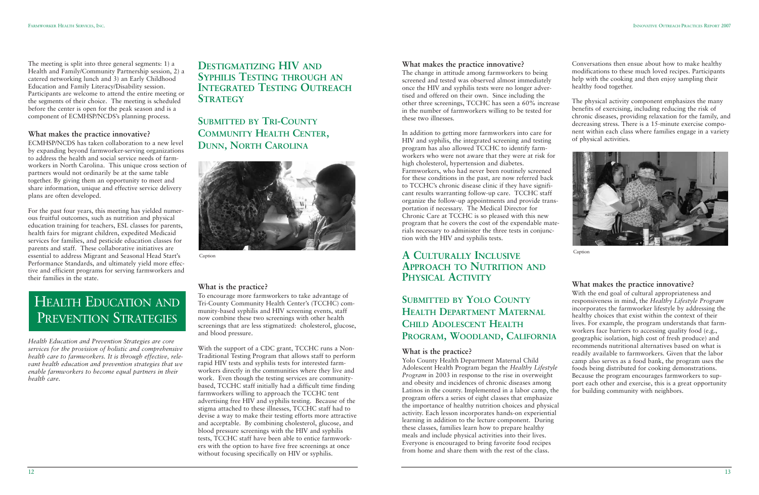#### **What makes the practice innovative?**

The change in attitude among farmworkers to being screened and tested was observed almost immediately once the HIV and syphilis tests were no longer advertised and offered on their own. Since including the other three screenings, TCCHC has seen a 60% increase in the number of farmworkers willing to be tested for these two illnesses.

In addition to getting more farmworkers into care for HIV and syphilis, the integrated screening and testing program has also allowed TCCHC to identify farmworkers who were not aware that they were at risk for high cholesterol, hypertension and diabetes. Farmworkers, who had never been routinely screened for these conditions in the past, are now referred back to TCCHC's chronic disease clinic if they have significant results warranting follow-up care. TCCHC staff organize the follow-up appointments and provide transportation if necessary. The Medical Director for Chronic Care at TCCHC is so pleased with this new program that he covers the cost of the expendable materials necessary to administer the three tests in conjunction with the HIV and syphilis tests.

### **A CULTURALLY INCLUSIVE APPROACH TO NUTRITION AND PHYSICAL ACTIVITY**

**SUBMITTED BY YOLO COUNTY HEALTH DEPARTMENT MATERNAL CHILD ADOLESCENT HEALTH PROGRAM, WOODLAND, CALIFORNIA**

#### **What is the practice?**

Yolo County Health Department Maternal Child Adolescent Health Program began the *Healthy Lifestyle Program* in 2003 in response to the rise in overweight and obesity and incidences of chronic diseases among Latinos in the county. Implemented in a labor camp, the program offers a series of eight classes that emphasize the importance of healthy nutrition choices and physical activity. Each lesson incorporates hands-on experiential learning in addition to the lecture component. During these classes, families learn how to prepare healthy meals and include physical activities into their lives. Everyone is encouraged to bring favorite food recipes from home and share them with the rest of the class.

Conversations then ensue about how to make healthy modifications to these much loved recipes. Participants help with the cooking and then enjoy sampling their healthy food together.

The physical activity component emphasizes the many benefits of exercising, including reducing the risk of chronic diseases, providing relaxation for the family, and decreasing stress. There is a 15-minute exercise component within each class where families engage in a variety of physical activities.



### **What makes the practice innovative?**

With the end goal of cultural appropriateness and responsiveness in mind, the *Healthy Lifestyle Program* incorporates the farmworker lifestyle by addressing the healthy choices that exist within the context of their lives. For example, the program understands that farmworkers face barriers to accessing quality food (e.g., geographic isolation, high cost of fresh produce) and recommends nutritional alternatives based on what is readily available to farmworkers. Given that the labor camp also serves as a food bank, the program uses the foods being distributed for cooking demonstrations. Because the program encourages farmworkers to support each other and exercise, this is a great opportunity for building community with neighbors.

Caption

The meeting is split into three general segments: 1) a Health and Family/Community Partnership session, 2) a catered networking lunch and 3) an Early Childhood Education and Family Literacy/Disability session. Participants are welcome to attend the entire meeting or the segments of their choice. The meeting is scheduled before the center is open for the peak season and is a component of ECMHSP/NCDS's planning process.

#### **What makes the practice innovative?**

ECMHSP/NCDS has taken collaboration to a new level by expanding beyond farmworker-serving organizations to address the health and social service needs of farmworkers in North Carolina. This unique cross section of partners would not ordinarily be at the same table together. By giving them an opportunity to meet and share information, unique and effective service delivery plans are often developed.

For the past four years, this meeting has yielded numerous fruitful outcomes, such as nutrition and physical education training for teachers, ESL classes for parents, health fairs for migrant children, expedited Medicaid services for families, and pesticide education classes for parents and staff. These collaborative initiatives are essential to address Migrant and Seasonal Head Start's Performance Standards, and ultimately yield more effective and efficient programs for serving farmworkers and their families in the state.

*Health Education and Prevention Strategies are core services for the provision of holistic and comprehensive health care to farmworkers. It is through effective, relevant health education and prevention strategies that we enable farmworkers to become equal partners in their health care.*

### **DESTIGMATIZING HIV AND SYPHILIS TESTING THROUGH AN INTEGRATED TESTING OUTREACH STRATEGY**

## **SUBMITTED BY TRI-COUNTY COMMUNITY HEALTH CENTER, DUNN, NORTH CAROLINA**

### **What is the practice?**

To encourage more farmworkers to take advantage of Tri-County Community Health Center's (TCCHC) community-based syphilis and HIV screening events, staff now combine these two screenings with other health screenings that are less stigmatized: cholesterol, glucose, and blood pressure.

With the support of a CDC grant, TCCHC runs a Non-Traditional Testing Program that allows staff to perform rapid HIV tests and syphilis tests for interested farmworkers directly in the communities where they live and work. Even though the testing services are communitybased, TCCHC staff initially had a difficult time finding farmworkers willing to approach the TCCHC tent advertising free HIV and syphilis testing. Because of the stigma attached to these illnesses, TCCHC staff had to devise a way to make their testing efforts more attractive and acceptable. By combining cholesterol, glucose, and blood pressure screenings with the HIV and syphilis tests, TCCHC staff have been able to entice farmworkers with the option to have five free screenings at once without focusing specifically on HIV or syphilis.

# HEALTH EDUCATION AND PREVENTION STRATEGIES



Caption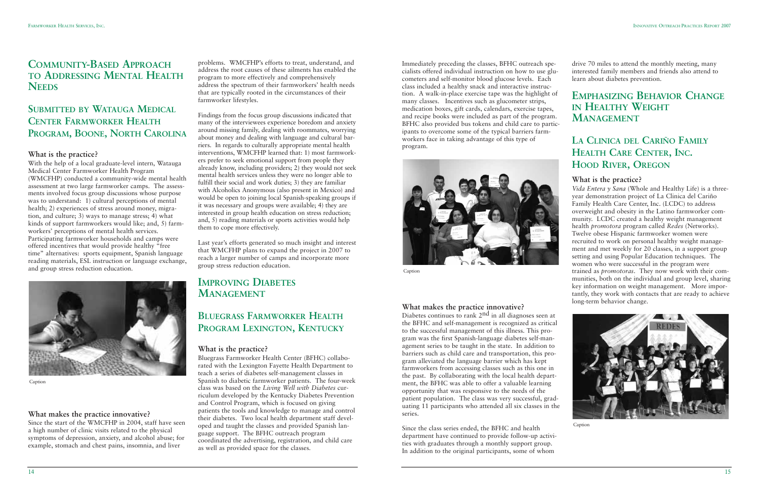### **COMMUNITY-BASED APPROACH TO ADDRESSING MENTAL HEALTH NEEDS**

### **SUBMITTED BY WATAUGA MEDICAL CENTER FARMWORKER HEALTH PROGRAM, BOONE, NORTH CAROLINA**

### **What is the practice?**

With the help of a local graduate-level intern, Watauga Medical Center Farmworker Health Program (WMCFHP) conducted a community-wide mental health assessment at two large farmworker camps. The assessments involved focus group discussions whose purpose was to understand: 1) cultural perceptions of mental health; 2) experiences of stress around money, migration, and culture; 3) ways to manage stress; 4) what kinds of support farmworkers would like; and, 5) farmworkers' perceptions of mental health services. Participating farmworker households and camps were offered incentives that would provide healthy "free time" alternatives: sports equipment, Spanish language reading materials, ESL instruction or language exchange, and group stress reduction education.

#### **What makes the practice innovative?**

Since the start of the WMCFHP in 2004, staff have seen a high number of clinic visits related to the physical symptoms of depression, anxiety, and alcohol abuse; for example, stomach and chest pains, insomnia, and liver

problems. WMCFHP's efforts to treat, understand, and address the root causes of these ailments has enabled the program to more effectively and comprehensively address the spectrum of their farmworkers' health needs that are typically rooted in the circumstances of their farmworker lifestyles.

Findings from the focus group discussions indicated that many of the interviewees experience boredom and anxiety around missing family, dealing with roommates, worrying about money and dealing with language and cultural barriers. In regards to culturally appropriate mental health interventions, WMCFHP learned that: 1) most farmworkers prefer to seek emotional support from people they already know, including providers; 2) they would not seek mental health services unless they were no longer able to fulfill their social and work duties; 3) they are familiar with Alcoholics Anonymous (also present in Mexico) and would be open to joining local Spanish-speaking groups if it was necessary and groups were available; 4) they are interested in group health education on stress reduction; and, 5) reading materials or sports activities would help them to cope more effectively.

> Diabetes continues to rank 2<sup>nd</sup> in all diagnoses seen at the BFHC and self-management is recognized as critical to the successful management of this illness. This program was the first Spanish-language diabetes self-management series to be taught in the state. In addition to barriers such as child care and transportation, this program alleviated the language barrier which has kept farmworkers from accessing classes such as this one in the past. By collaborating with the local health department, the BFHC was able to offer a valuable learning opportunity that was responsive to the needs of the patient population. The class was very successful, graduating 11 participants who attended all six classes in the series.

Last year's efforts generated so much insight and interest that WMCFHP plans to expand the project in 2007 to reach a larger number of camps and incorporate more group stress reduction education.

### **IMPROVING DIABETES MANAGEMENT**

### **BLUEGRASS FARMWORKER HEALTH PROGRAM LEXINGTON, KENTUCKY**

### **What is the practice?**

Bluegrass Farmworker Health Center (BFHC) collaborated with the Lexington Fayette Health Department to teach a series of diabetes self-management classes in Spanish to diabetic farmworker patients. The four-week class was based on the *Living Well with Diabetes* curriculum developed by the Kentucky Diabetes Prevention and Control Program, which is focused on giving patients the tools and knowledge to manage and control their diabetes. Two local health department staff developed and taught the classes and provided Spanish language support. The BFHC outreach program coordinated the advertising, registration, and child care as well as provided space for the classes.



Caption

Immediately preceding the classes, BFHC outreach specialists offered individual instruction on how to use glucometers and self-monitor blood glucose levels. Each class included a healthy snack and interactive instruction. A walk-in-place exercise tape was the highlight of many classes. Incentives such as glucometer strips, medication boxes, gift cards, calendars, exercise tapes, and recipe books were included as part of the program. BFHC also provided bus tokens and child care to participants to overcome some of the typical barriers farmworkers face in taking advantage of this type of program.



### **What makes the practice innovative?**

Since the class series ended, the BFHC and health department have continued to provide follow-up activities with graduates through a monthly support group. In addition to the original participants, some of whom

drive 70 miles to attend the monthly meeting, many interested family members and friends also attend to learn about diabetes prevention.

### **EMPHASIZING BEHAVIOR CHANGE IN HEALTHY WEIGHT MANAGEMENT**

### **LA CLINICA DEL CARIÑO FAMILY HEALTH CARE CENTER, INC. HOOD RIVER, OREGON**

### **What is the practice?**

*Vida Entera y Sana* (Whole and Healthy Life) is a threeyear demonstration project of La Clinica del Cariño Family Health Care Center, Inc. (LCDC) to address overweight and obesity in the Latino farmworker community. LCDC created a healthy weight management health *promotora* program called *Redes* (Networks). Twelve obese Hispanic farmworker women were recruited to work on personal healthy weight management and met weekly for 20 classes, in a support group setting and using Popular Education techniques. The women who were successful in the program were trained as *promotoras*. They now work with their communities, both on the individual and group level, sharing key information on weight management. More importantly, they work with contacts that are ready to achieve long-term behavior change.



Caption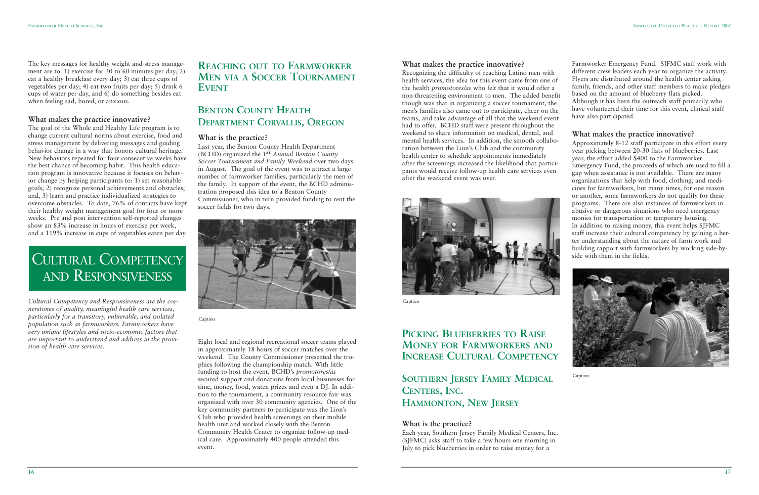

### **PICKING BLUEBERRIES TO RAISE MONEY FOR FARMWORKERS AND INCREASE CULTURAL COMPETENCY**

**What makes the practice innovative?** Recognizing the difficulty of reaching Latino men with health services, the idea for this event came from one of the health *promotores/as* who felt that it would offer a non-threatening environment to men. The added benefit though was that in organizing a soccer tournament, the men's families also came out to participate, cheer on the teams, and take advantage of all that the weekend event had to offer. BCHD staff were present throughout the weekend to share information on medical, dental, and mental health services. In addition, the smooth collaboration between the Lion's Club and the community health center to schedule appointments immediately after the screenings increased the likelihood that participants would receive follow-up health care services even after the weekend event was over. Farmworker Emergency Fund. SJFMC staff work with different crew leaders each year to organize the activity. Flyers are distributed around the health center asking family, friends, and other staff members to make pledges based on the amount of blueberry flats picked. Although it has been the outreach staff primarily who have volunteered their time for this event, clinical staff have also participated. **What makes the practice innovative?** Approximately 8-12 staff participate in this effort every year picking between 20-30 flats of blueberries. Last year, the effort added \$400 to the Farmworker gap when assistance is not available. There are many



### **SOUTHERN JERSEY FAMILY MEDICAL CENTERS, INC. HAMMONTON, NEW JERSEY**

#### **What is the practice?**

Each year, Southern Jersey Family Medical Centers, Inc. (SJFMC) asks staff to take a few hours one morning in July to pick blueberries in order to raise money for a

Emergency Fund, the proceeds of which are used to fill a organizations that help with food, clothing, and medicines for farmworkers, but many times, for one reason or another, some farmworkers do not qualify for these programs. There are also instances of farmworkers in abusive or dangerous situations who need emergency monies for transportation or temporary housing. In addition to raising money, this event helps SJFMC staff increase their cultural competency by gaining a better understanding about the nature of farm work and building rapport with farmworkers by working side-byside with them in the fields.



Caption

Caption

The key messages for healthy weight and stress management are to: 1) exercise for 30 to 60 minutes per day; 2) eat a healthy breakfast every day; 3) eat three cups of vegetables per day; 4) eat two fruits per day; 5) drink 6 cups of water per day, and 6) do something besides eat when feeling sad, bored, or anxious.

#### **What makes the practice innovative?**

The goal of the Whole and Healthy Life program is to change current cultural norms about exercise, food and stress management by delivering messages and guiding behavior change in a way that honors cultural heritage. New behaviors repeated for four consecutive weeks have the best chance of becoming habit. This health education program is innovative because it focuses on behavior change by helping participants to: 1) set reasonable goals; 2) recognize personal achievements and obstacles; and, 3) learn and practice individualized strategies to overcome obstacles. To date, 76% of contacts have kept their healthy weight management goal for four or more weeks. Pre and post intervention self-reported changes show an 83% increase in hours of exercise per week, and a 119% increase in cups of vegetables eaten per day.

*Cultural Competency and Responsiveness are the cornerstones of quality, meaningful health care services, particularly for a transitory, vulnerable, and isolated population such as farmworkers. Farmworkers have very unique lifestyles and socio-economic factors that are important to understand and address in the provision of health care services.*

### **REACHING OUT TO FARMWORKER MEN VIA A SOCCER TOURNAMENT EVENT**

### **BENTON COUNTY HEALTH DEPARTMENT CORVALLIS, OREGON**

#### **What is the practice?**

Last year, the Benton County Health Department (BCHD) organized the *1st Annual Benton County Soccer Tournament and Family Weekend* over two days in August. The goal of the event was to attract a large number of farmworker families, particularly the men of the family. In support of the event, the BCHD administration proposed this idea to a Benton County Commissioner, who in turn provided funding to rent the soccer fields for two days.



Eight local and regional recreational soccer teams played in approximately 18 hours of soccer matches over the weekend. The County Commissioner presented the trophies following the championship match. With little funding to host the event, BCHD's *promotores/as* secured support and donations from local businesses for time, money, food, water, prizes and even a DJ. In addition to the tournament, a community resource fair was organized with over 30 community agencies. One of the key community partners to participate was the Lion's Club who provided health screenings on their mobile health unit and worked closely with the Benton Community Health Center to organize follow-up medical care. Approximately 400 people attended this event.

Caption

# CULTURAL COMPETENCY AND RESPONSIVENESS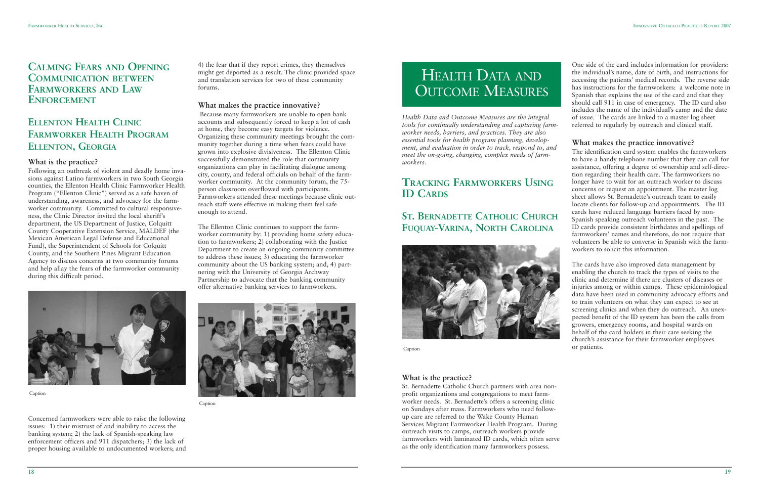

*Health Data and Outcome Measures are the integral tools for continually understanding and capturing farmworker needs, barriers, and practices. They are also essential tools for health program planning, development, and evaluation in order to track, respond to, and meet the on-going, changing, complex needs of farmworkers.*

### **TRACKING FARMWORKERS USING ID CARDS**

## **ST. BERNADETTE CATHOLIC CHURCH FUQUAY-VARINA, NORTH CAROLINA**



### **What is the practice?**

St. Bernadette Catholic Church partners with area nonprofit organizations and congregations to meet farmworker needs. St. Bernadette's offers a screening clinic on Sundays after mass. Farmworkers who need followup care are referred to the Wake County Human Services Migrant Farmworker Health Program. During outreach visits to camps, outreach workers provide farmworkers with laminated ID cards, which often serve as the only identification many farmworkers possess.

One side of the card includes information for providers: the individual's name, date of birth, and instructions for accessing the patients' medical records. The reverse side has instructions for the farmworkers: a welcome note in Spanish that explains the use of the card and that they should call 911 in case of emergency. The ID card also includes the name of the individual's camp and the date of issue. The cards are linked to a master log sheet referred to regularly by outreach and clinical staff.

# HEALTH DATA AND OUTCOME MEASURES

#### **What makes the practice innovative?**

The identification card system enables the farmworkers to have a handy telephone number that they can call for assistance, offering a degree of ownership and self-direction regarding their health care. The farmworkers no longer have to wait for an outreach worker to discuss concerns or request an appointment. The master log sheet allows St. Bernadette's outreach team to easily locate clients for follow-up and appointments. The ID cards have reduced language barriers faced by non-Spanish speaking outreach volunteers in the past. The ID cards provide consistent birthdates and spellings of farmworkers' names and therefore, do not require that volunteers be able to converse in Spanish with the farmworkers to solicit this information.

The cards have also improved data management by enabling the church to track the types of visits to the clinic and determine if there are clusters of diseases or injuries among or within camps. These epidemiological data have been used in community advocacy efforts and to train volunteers on what they can expect to see at screening clinics and when they do outreach. An unexpected benefit of the ID system has been the calls from growers, emergency rooms, and hospital wards on behalf of the card holders in their care seeking the church's assistance for their farmworker employees or patients.

Caption

### **CALMING FEARS AND OPENING COMMUNICATION BETWEEN FARMWORKERS AND LAW ENFORCEMENT**

### **ELLENTON HEALTH CLINIC FARMWORKER HEALTH PROGRAM ELLENTON, GEORGIA**

#### **What is the practice?**

Following an outbreak of violent and deadly home invasions against Latino farmworkers in two South Georgia counties, the Ellenton Health Clinic Farmworker Health Program ("Ellenton Clinic") served as a safe haven of understanding, awareness, and advocacy for the farmworker community. Committed to cultural responsiveness, the Clinic Director invited the local sheriff's department, the US Department of Justice, Colquitt County Cooperative Extension Service, MALDEF (the Mexican American Legal Defense and Educational Fund), the Superintendent of Schools for Colquitt County, and the Southern Pines Migrant Education Agency to discuss concerns at two community forums and help allay the fears of the farmworker community during this difficult period.

Concerned farmworkers were able to raise the following issues: 1) their mistrust of and inability to access the banking system; 2) the lack of Spanish-speaking law enforcement officers and 911 dispatchers; 3) the lack of proper housing available to undocumented workers; and

4) the fear that if they report crimes, they themselves might get deported as a result. The clinic provided space and translation services for two of these community forums.

### **What makes the practice innovative?**

Because many farmworkers are unable to open bank accounts and subsequently forced to keep a lot of cash at home, they become easy targets for violence. Organizing these community meetings brought the community together during a time when fears could have grown into explosive divisiveness. The Ellenton Clinic successfully demonstrated the role that community organizations can play in facilitating dialogue among city, county, and federal officials on behalf of the farmworker community. At the community forum, the 75 person classroom overflowed with participants. Farmworkers attended these meetings because clinic outreach staff were effective in making them feel safe enough to attend.

The Ellenton Clinic continues to support the farmworker community by: 1) providing home safety education to farmworkers; 2) collaborating with the Justice Department to create an ongoing community committee to address these issues; 3) educating the farmworker community about the US banking system; and, 4) partnering with the University of Georgia Archway Partnership to advocate that the banking community offer alternative banking services to farmworkers.





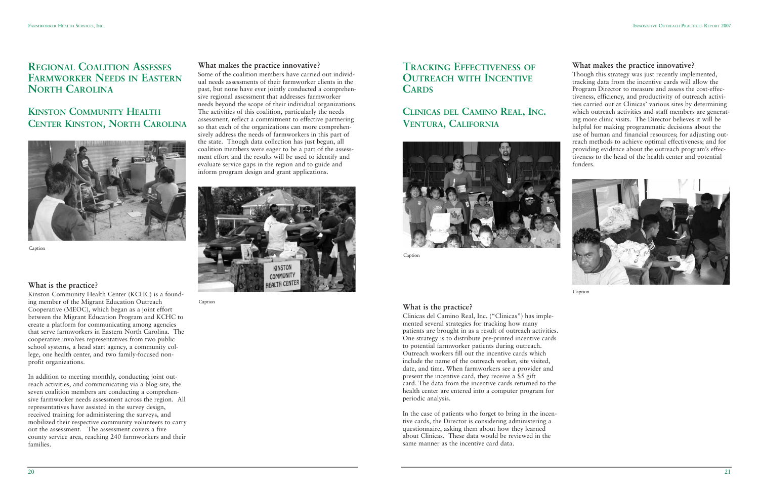### **REGIONAL COALITION ASSESSES FARMWORKER NEEDS IN EASTERN NORTH CAROLINA**

### **KINSTON COMMUNITY HEALTH CENTER KINSTON, NORTH CAROLINA**

### **What is the practice?**

Kinston Community Health Center (KCHC) is a founding member of the Migrant Education Outreach Cooperative (MEOC), which began as a joint effort between the Migrant Education Program and KCHC to create a platform for communicating among agencies that serve farmworkers in Eastern North Carolina. The cooperative involves representatives from two public school systems, a head start agency, a community college, one health center, and two family-focused nonprofit organizations.

In addition to meeting monthly, conducting joint outreach activities, and communicating via a blog site, the seven coalition members are conducting a comprehensive farmworker needs assessment across the region. All representatives have assisted in the survey design, received training for administering the surveys, and mobilized their respective community volunteers to carry out the assessment. The assessment covers a five county service area, reaching 240 farmworkers and their families.

#### **What makes the practice innovative?**

Some of the coalition members have carried out individual needs assessments of their farmworker clients in the past, but none have ever jointly conducted a comprehensive regional assessment that addresses farmworker needs beyond the scope of their individual organizations. The activities of this coalition, particularly the needs assessment, reflect a commitment to effective partnering so that each of the organizations can more comprehensively address the needs of farmworkers in this part of the state. Though data collection has just begun, all coalition members were eager to be a part of the assessment effort and the results will be used to identify and evaluate service gaps in the region and to guide and inform program design and grant applications.



Caption



Caption

### **TRACKING EFFECTIVENESS OF OUTREACH WITH INCENTIVE CARDS**

### **CLINICAS DEL CAMINO REAL, INC. VENTURA, CALIFORNIA**

### **What is the practice?**

Clinicas del Camino Real, Inc. ("Clinicas") has implemented several strategies for tracking how many patients are brought in as a result of outreach activities. One strategy is to distribute pre-printed incentive cards to potential farmworker patients during outreach. Outreach workers fill out the incentive cards which include the name of the outreach worker, site visited, date, and time. When farmworkers see a provider and present the incentive card, they receive a \$5 gift card. The data from the incentive cards returned to the health center are entered into a computer program for periodic analysis.

In the case of patients who forget to bring in the incentive cards, the Director is considering administering a questionnaire, asking them about how they learned about Clinicas. These data would be reviewed in the same manner as the incentive card data.

#### **What makes the practice innovative?**

Though this strategy was just recently implemented, tracking data from the incentive cards will allow the Program Director to measure and assess the cost-effectiveness, efficiency, and productivity of outreach activities carried out at Clinicas' various sites by determining which outreach activities and staff members are generating more clinic visits. The Director believes it will be helpful for making programmatic decisions about the use of human and financial resources; for adjusting outreach methods to achieve optimal effectiveness; and for providing evidence about the outreach program's effectiveness to the head of the health center and potential funders.





Caption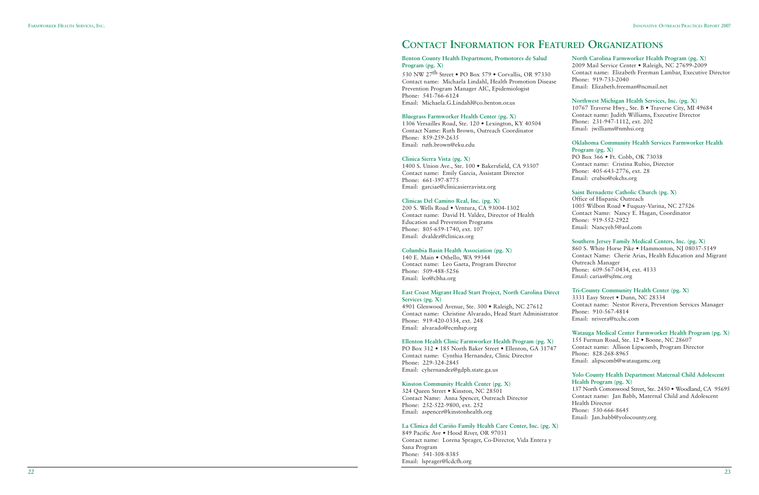#### **Benton County Health Department, Promotores de Salud Program (pg. X)**

530 NW 27th Street • PO Box 579 • Corvallis, OR 97330 Contact name: Michaela Lindahl, Health Promotion Disease Prevention Program Manager AIC, Epidemiologist Phone: 541-766-6124 Email: Michaela.G.Lindahl@co.benton.or.us

#### **Bluegrass Farmworker Health Center (pg. X)**

1306 Versailles Road, Ste. 120 • Lexington, KY 40504 Contact Name: Ruth Brown, Outreach Coordinator Phone: 859-259-2635 Email: ruth.brown@eku.edu

#### **Clinica Sierra Vista (pg. X)**

1400 S. Union Ave., Ste. 100 • Bakersfield, CA 93307 Contact name: Emily Garcia, Assistant Director Phone: 661-397-8775 Email: garciae@clinicasierravista.org

#### **Clinicas Del Camino Real, Inc. (pg. X)**

200 S. Wells Road • Ventura, CA 93004-1302 Contact name: David H. Valdez, Director of Health Education and Prevention Programs Phone: 805-659-1740, ext. 107 Email: dvaldez@clinicas.org

#### **Columbia Basin Health Association (pg. X)**

849 Pacific Ave · Hood River, OR 97031 Contact name: Lorena Sprager, Co-Director, Vida Entera y Sana Program Phone: 541-308-8385 Email: lsprager@lcdcfh.org

140 E. Main • Othello, WA 99344 Contact name: Leo Gaeta, Program Director Phone: 509-488-5256 Email: leo@cbha.org

Contact name: Christine Alvarado, Head Start Administrator Phone: 919-420-0334, ext. 248 Email: alvarado@ecmhsp.org

#### **Ellenton Health Clinic Farmworker Health Program (pg. X)**

PO Box 312 • 185 North Baker Street • Ellenton, GA 31747 Contact name: Cynthia Hernandez, Clinic Director Phone: 229-324-2845 Email: cyhernandez@gdph.state.ga.us

#### **Kinston Community Health Center (pg. X)**

324 Queen Street • Kinston, NC 28501 Contact Name: Anna Spencer, Outreach Director Phone: 252-522-9800, ext. 252 Email: aspencer@kinstonhealth.org

#### **La Clinica del Cariño Family Health Care Center, Inc. (pg. X)**

#### **North Carolina Farmworker Health Program (pg. X)**

2009 Mail Service Center • Raleigh, NC 27699-2009 Contact name: Elizabeth Freeman Lambar, Executive Director Phone: 919-733-2040 Email: Elizabeth.freeman@ncmail.net

#### **East Coast Migrant Head Start Project, North Carolina Direct Services (pg. X)** 4901 Glenwood Avenue, Ste. 300 • Raleigh, NC 27612 **Tri-County Community Health Center (pg. X)** 3331 Easy Street • Dunn, NC 28334 Contact name: Nestor Rivera, Prevention Services Manager

#### **Northwest Michigan Health Services, Inc. (pg. X)**

10767 Traverse Hwy., Ste. B • Traverse City, MI 49684 Contact name: Judith Williams, Executive Director Phone: 231-947-1112, ext. 202 Email: jwilliams@nmhsi.org

#### **Oklahoma Community Health Services Farmworker Health Program (pg. X)**

PO Box 366 • Ft. Cobb, OK 73038 Contact name: Cristina Rubio, Director Phone: 405-643-2776, ext. 28 Email: crubio@okchs.org

#### **Saint Bernadette Catholic Church (pg. X)**

Office of Hispanic Outreach 1005 Wilbon Road • Fuquay-Varina, NC 27526 Contact Name: Nancy E. Hagan, Coordinator Phone: 919-552-2922 Email: Nancyeh5@aol.com

#### **Southern Jersey Family Medical Centers, Inc. (pg. X)**

860 S. White Horse Pike • Hammonton, NJ 08037-5149 Contact Name: Cherie Arias, Health Education and Migrant Outreach Manager Phone: 609-567-0434, ext. 4133 Email: carias@sjfmc.org

Phone: 910-567-4814 Email: nrivera@tcchc.com

**Watauga Medical Center Farmworker Health Program (pg. X)** 155 Furman Road, Ste. 12 • Boone, NC 28607 Contact name: Allison Lipscomb, Program Director Phone: 828-268-8965 Email: alipscomb@wataugamc.org

#### **Yolo County Health Department Maternal Child Adolescent Health Program (pg. X)**

137 North Cottonwood Street, Ste. 2450 • Woodland, CA 95695 Contact name: Jan Babb, Maternal Child and Adolescent Health Director Phone: 530-666-8645 Email: Jan.babb@yolocounty.org

## **CONTACT INFORMATION FOR FEATURED ORGANIZATIONS**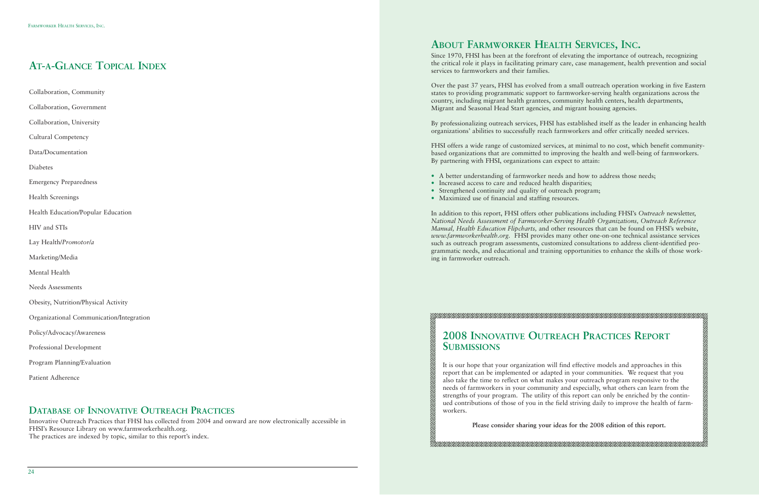## **ABOUT FARMWORKER HEALTH SERVICES, INC.**

Since 1970, FHSI has been at the forefront of elevating the importance of outreach, recognizing the critical role it plays in facilitating primary care, case management, health prevention and social services to farmworkers and their families.

Over the past 37 years, FHSI has evolved from a small outreach operation working in five Eastern states to providing programmatic support to farmworker-serving health organizations across the country, including migrant health grantees, community health centers, health departments, Migrant and Seasonal Head Start agencies, and migrant housing agencies.

By professionalizing outreach services, FHSI has established itself as the leader in enhancing health organizations' abilities to successfully reach farmworkers and offer critically needed services.

FHSI offers a wide range of customized services, at minimal to no cost, which benefit communitybased organizations that are committed to improving the health and well-being of farmworkers. By partnering with FHSI, organizations can expect to attain:

- A better understanding of farmworker needs and how to address those needs;
- Increased access to care and reduced health disparities;
- Strengthened continuity and quality of outreach program;
- Maximized use of financial and staffing resources.

In addition to this report, FHSI offers other publications including FHSI's *Outreach* newsletter, *National Needs Assessment of Farmworker-Serving Health Organizations, Outreach Reference Manual, Health Education Flipcharts,* and other resources that can be found on FHSI's website, *www.farmworkerhealth.org.* FHSI provides many other one-on-one technical assistance services such as outreach program assessments, customized consultations to address client-identified programmatic needs, and educational and training opportunities to enhance the skills of those working in farmworker outreach.

## **2008 INNOVATIVE OUTREACH PRACTICES REPORT SUBMISSIONS**

E CONSTRUCTOR DE CONSTRUCTOR DE CONSTRUCTOR DE CONSTRUCTOR DE CONSTRUCTOR DE CONSTRUCTOR DE CONSTRUCTOR DE CO

It is our hope that your organization will find effective models and approaches in this report that can be implemented or adapted in your communities. We request that you also take the time to reflect on what makes your outreach program responsive to the needs of farmworkers in your community and especially, what others can learn from the strengths of your program. The utility of this report can only be enriched by the continued contributions of those of you in the field striving daily to improve the health of farmworkers.

**Please consider sharing your ideas for the 2008 edition of this report.**

## **AT-A-GLANCE TOPICAL INDEX**

Collaboration, Community

- Collaboration, Government
- Collaboration, University

Cultural Competency

Data/Documentation

Diabetes

Emergency Preparedness

Health Screenings

Health Education/Popular Education

HIV and STIs

- Lay Health/*Promotor/a*
- Marketing/Media

Mental Health

Needs Assessments

- Obesity, Nutrition/Physical Activity
- Organizational Communication/Integration
- Policy/Advocacy/Awareness
- Professional Development
- Program Planning/Evaluation
- Patient Adherence

### **DATABASE OF INNOVATIVE OUTREACH PRACTICES**

Innovative Outreach Practices that FHSI has collected from 2004 and onward are now electronically accessible in FHSI's Resource Library on www.farmworkerhealth.org. The practices are indexed by topic, similar to this report's index.